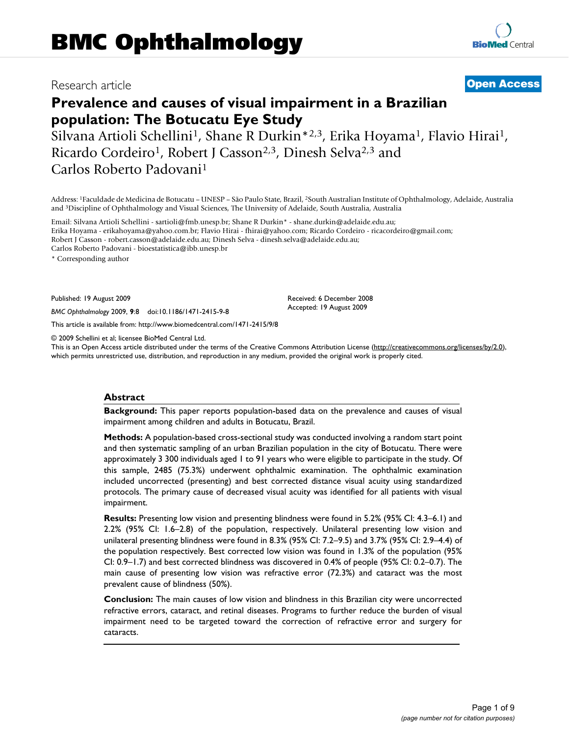# Research article **[Open Access](http://www.biomedcentral.com/info/about/charter/)**

# **Prevalence and causes of visual impairment in a Brazilian population: The Botucatu Eye Study**

Silvana Artioli Schellini<sup>1</sup>, Shane R Durkin<sup>\*2,3</sup>, Erika Hoyama<sup>1</sup>, Flavio Hirai<sup>1</sup>, Ricardo Cordeiro<sup>1</sup>, Robert J Casson<sup>2,3</sup>, Dinesh Selva<sup>2,3</sup> and Carlos Roberto Padovani1

Address: 1Faculdade de Medicina de Botucatu – UNESP – São Paulo State, Brazil, 2South Australian Institute of Ophthalmology, Adelaide, Australia and 3Discipline of Ophthalmology and Visual Sciences, The University of Adelaide, South Australia, Australia

Email: Silvana Artioli Schellini - sartioli@fmb.unesp.br; Shane R Durkin\* - shane.durkin@adelaide.edu.au; Erika Hoyama - erikahoyama@yahoo.com.br; Flavio Hirai - fhirai@yahoo.com; Ricardo Cordeiro - ricacordeiro@gmail.com; Robert J Casson - robert.casson@adelaide.edu.au; Dinesh Selva - dinesh.selva@adelaide.edu.au; Carlos Roberto Padovani - bioestatistica@ibb.unesp.br

\* Corresponding author

Published: 19 August 2009

*BMC Ophthalmology* 2009, **9**:8 doi:10.1186/1471-2415-9-8

[This article is available from: http://www.biomedcentral.com/1471-2415/9/8](http://www.biomedcentral.com/1471-2415/9/8)

© 2009 Schellini et al; licensee BioMed Central Ltd.

This is an Open Access article distributed under the terms of the Creative Commons Attribution License [\(http://creativecommons.org/licenses/by/2.0\)](http://creativecommons.org/licenses/by/2.0), which permits unrestricted use, distribution, and reproduction in any medium, provided the original work is properly cited.

Received: 6 December 2008 Accepted: 19 August 2009

### **Abstract**

**Background:** This paper reports population-based data on the prevalence and causes of visual impairment among children and adults in Botucatu, Brazil.

**Methods:** A population-based cross-sectional study was conducted involving a random start point and then systematic sampling of an urban Brazilian population in the city of Botucatu. There were approximately 3 300 individuals aged 1 to 91 years who were eligible to participate in the study. Of this sample, 2485 (75.3%) underwent ophthalmic examination. The ophthalmic examination included uncorrected (presenting) and best corrected distance visual acuity using standardized protocols. The primary cause of decreased visual acuity was identified for all patients with visual impairment.

**Results:** Presenting low vision and presenting blindness were found in 5.2% (95% CI: 4.3–6.1) and 2.2% (95% CI: 1.6–2.8) of the population, respectively. Unilateral presenting low vision and unilateral presenting blindness were found in 8.3% (95% CI: 7.2–9.5) and 3.7% (95% CI: 2.9–4.4) of the population respectively. Best corrected low vision was found in 1.3% of the population (95% CI: 0.9–1.7) and best corrected blindness was discovered in 0.4% of people (95% CI: 0.2–0.7). The main cause of presenting low vision was refractive error (72.3%) and cataract was the most prevalent cause of blindness (50%).

**Conclusion:** The main causes of low vision and blindness in this Brazilian city were uncorrected refractive errors, cataract, and retinal diseases. Programs to further reduce the burden of visual impairment need to be targeted toward the correction of refractive error and surgery for cataracts.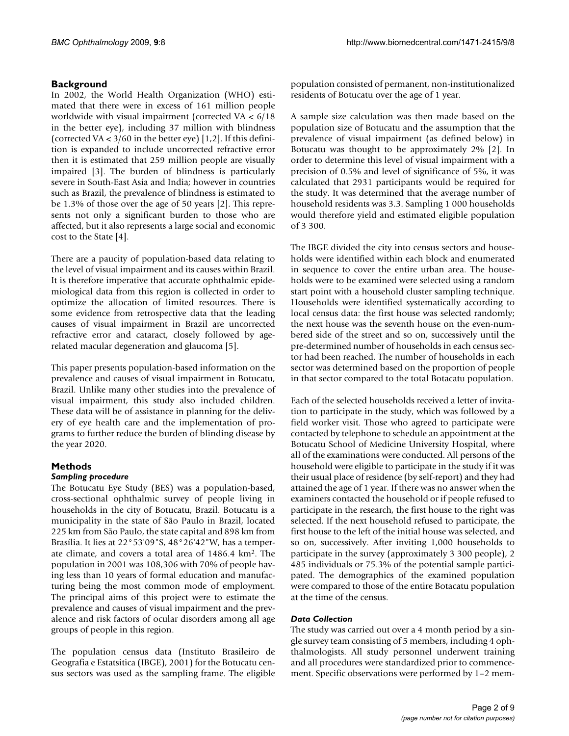# **Background**

In 2002, the World Health Organization (WHO) estimated that there were in excess of 161 million people worldwide with visual impairment (corrected VA < 6/18 in the better eye), including 37 million with blindness (corrected VA  $<$  3/60 in the better eye) [1,2]. If this definition is expanded to include uncorrected refractive error then it is estimated that 259 million people are visually impaired [3]. The burden of blindness is particularly severe in South-East Asia and India; however in countries such as Brazil, the prevalence of blindness is estimated to be 1.3% of those over the age of 50 years [2]. This represents not only a significant burden to those who are affected, but it also represents a large social and economic cost to the State [4].

There are a paucity of population-based data relating to the level of visual impairment and its causes within Brazil. It is therefore imperative that accurate ophthalmic epidemiological data from this region is collected in order to optimize the allocation of limited resources. There is some evidence from retrospective data that the leading causes of visual impairment in Brazil are uncorrected refractive error and cataract, closely followed by agerelated macular degeneration and glaucoma [5].

This paper presents population-based information on the prevalence and causes of visual impairment in Botucatu, Brazil. Unlike many other studies into the prevalence of visual impairment, this study also included children. These data will be of assistance in planning for the delivery of eye health care and the implementation of programs to further reduce the burden of blinding disease by the year 2020.

# **Methods**

# *Sampling procedure*

The Botucatu Eye Study (BES) was a population-based, cross-sectional ophthalmic survey of people living in households in the city of Botucatu, Brazil. Botucatu is a municipality in the state of São Paulo in Brazil, located 225 km from São Paulo, the state capital and 898 km from Brasília. It lies at 22°53'09"S, 48°26'42"W, has a temperate climate, and covers a total area of 1486.4 km2. The population in 2001 was 108,306 with 70% of people having less than 10 years of formal education and manufacturing being the most common mode of employment. The principal aims of this project were to estimate the prevalence and causes of visual impairment and the prevalence and risk factors of ocular disorders among all age groups of people in this region.

The population census data (Instituto Brasileiro de Geografia e Estatsitica (IBGE), 2001) for the Botucatu census sectors was used as the sampling frame. The eligible population consisted of permanent, non-institutionalized residents of Botucatu over the age of 1 year.

A sample size calculation was then made based on the population size of Botucatu and the assumption that the prevalence of visual impairment (as defined below) in Botucatu was thought to be approximately 2% [2]. In order to determine this level of visual impairment with a precision of 0.5% and level of significance of 5%, it was calculated that 2931 participants would be required for the study. It was determined that the average number of household residents was 3.3. Sampling 1 000 households would therefore yield and estimated eligible population of 3 300.

The IBGE divided the city into census sectors and households were identified within each block and enumerated in sequence to cover the entire urban area. The households were to be examined were selected using a random start point with a household cluster sampling technique. Households were identified systematically according to local census data: the first house was selected randomly; the next house was the seventh house on the even-numbered side of the street and so on, successively until the pre-determined number of households in each census sector had been reached. The number of households in each sector was determined based on the proportion of people in that sector compared to the total Botacatu population.

Each of the selected households received a letter of invitation to participate in the study, which was followed by a field worker visit. Those who agreed to participate were contacted by telephone to schedule an appointment at the Botucatu School of Medicine University Hospital, where all of the examinations were conducted. All persons of the household were eligible to participate in the study if it was their usual place of residence (by self-report) and they had attained the age of 1 year. If there was no answer when the examiners contacted the household or if people refused to participate in the research, the first house to the right was selected. If the next household refused to participate, the first house to the left of the initial house was selected, and so on, successively. After inviting 1,000 households to participate in the survey (approximately 3 300 people), 2 485 individuals or 75.3% of the potential sample participated. The demographics of the examined population were compared to those of the entire Botacatu population at the time of the census.

# *Data Collection*

The study was carried out over a 4 month period by a single survey team consisting of 5 members, including 4 ophthalmologists. All study personnel underwent training and all procedures were standardized prior to commencement. Specific observations were performed by 1–2 mem-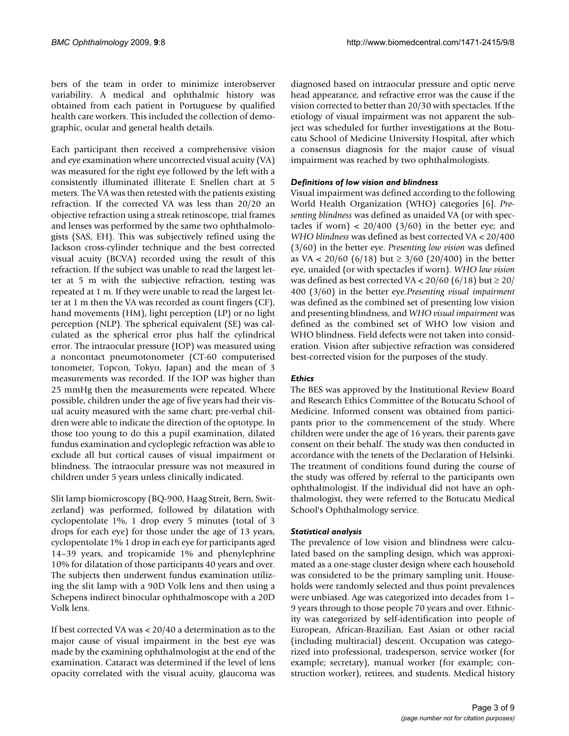bers of the team in order to minimize interobserver variability. A medical and ophthalmic history was obtained from each patient in Portuguese by qualified health care workers. This included the collection of demographic, ocular and general health details.

Each participant then received a comprehensive vision and eye examination where uncorrected visual acuity (VA) was measured for the right eye followed by the left with a consistently illuminated illiterate E Snellen chart at 5 meters. The VA was then retested with the patients existing refraction. If the corrected VA was less than 20/20 an objective refraction using a streak retinoscope, trial frames and lenses was performed by the same two ophthalmologists (SAS, EH). This was subjectively refined using the Jackson cross-cylinder technique and the best corrected visual acuity (BCVA) recorded using the result of this refraction. If the subject was unable to read the largest letter at 5 m with the subjective refraction, testing was repeated at 1 m. If they were unable to read the largest letter at 1 m then the VA was recorded as count fingers (CF), hand movements (HM), light perception (LP) or no light perception (NLP). The spherical equivalent (SE) was calculated as the spherical error plus half the cylindrical error. The intraocular pressure (IOP) was measured using a noncontact pneumotonometer (CT-60 computerised tonometer, Topcon, Tokyo, Japan) and the mean of 3 measurements was recorded. If the IOP was higher than 25 mmHg then the measurements were repeated. Where possible, children under the age of five years had their visual acuity measured with the same chart; pre-verbal children were able to indicate the direction of the optotype. In those too young to do this a pupil examination, dilated fundus examination and cycloplegic refraction was able to exclude all but cortical causes of visual impairment or blindness. The intraocular pressure was not measured in children under 5 years unless clinically indicated.

Slit lamp biomicroscopy (BQ-900, Haag Streit, Bern, Switzerland) was performed, followed by dilatation with cyclopentolate 1%, 1 drop every 5 minutes (total of 3 drops for each eye) for those under the age of 13 years, cyclopentolate 1% 1 drop in each eye for participants aged 14–39 years, and tropicamide 1% and phenylephrine 10% for dilatation of those participants 40 years and over. The subjects then underwent fundus examination utilizing the slit lamp with a 90D Volk lens and then using a Schepens indirect binocular ophthalmoscope with a 20D Volk lens.

If best corrected VA was < 20/40 a determination as to the major cause of visual impairment in the best eye was made by the examining ophthalmologist at the end of the examination. Cataract was determined if the level of lens opacity correlated with the visual acuity, glaucoma was

diagnosed based on intraocular pressure and optic nerve head appearance, and refractive error was the cause if the vision corrected to better than 20/30 with spectacles. If the etiology of visual impairment was not apparent the subject was scheduled for further investigations at the Botucatu School of Medicine University Hospital, after which a consensus diagnosis for the major cause of visual impairment was reached by two ophthalmologists.

# *Definitions of low vision and blindness*

Visual impairment was defined according to the following World Health Organization (WHO) categories [6]. *Presenting blindness* was defined as unaided VA (or with spectacles if worn)  $< 20/400$  (3/60) in the better eye; and *WHO blindness* was defined as best corrected VA < 20/400 (3/60) in the better eye. *Presenting low vision* was defined as VA < 20/60 (6/18) but ≥ 3/60 (20/400) in the better eye, unaided (or with spectacles if worn). *WHO low vision* was defined as best corrected VA < 20/60 (6/18) but  $\geq$  20/ 400 (3/60) in the better eye.*Presenting visual impairment* was defined as the combined set of presenting low vision and presenting blindness, and *WHO visual impairment* was defined as the combined set of WHO low vision and WHO blindness. Field defects were not taken into consideration. Vision after subjective refraction was considered best-corrected vision for the purposes of the study.

#### *Ethics*

The BES was approved by the Institutional Review Board and Research Ethics Committee of the Botucatu School of Medicine. Informed consent was obtained from participants prior to the commencement of the study. Where children were under the age of 16 years, their parents gave consent on their behalf. The study was then conducted in accordance with the tenets of the Declaration of Helsinki. The treatment of conditions found during the course of the study was offered by referral to the participants own ophthalmologist. If the individual did not have an ophthalmologist, they were referred to the Botucatu Medical School's Ophthalmology service.

#### *Statistical analysis*

The prevalence of low vision and blindness were calculated based on the sampling design, which was approximated as a one-stage cluster design where each household was considered to be the primary sampling unit. Households were randomly selected and thus point prevalences were unbiased. Age was categorized into decades from 1– 9 years through to those people 70 years and over. Ethnicity was categorized by self-identification into people of European, African-Brazilian, East Asian or other racial (including multiracial) descent. Occupation was categorized into professional, tradesperson, service worker (for example; secretary), manual worker (for example; construction worker), retirees, and students. Medical history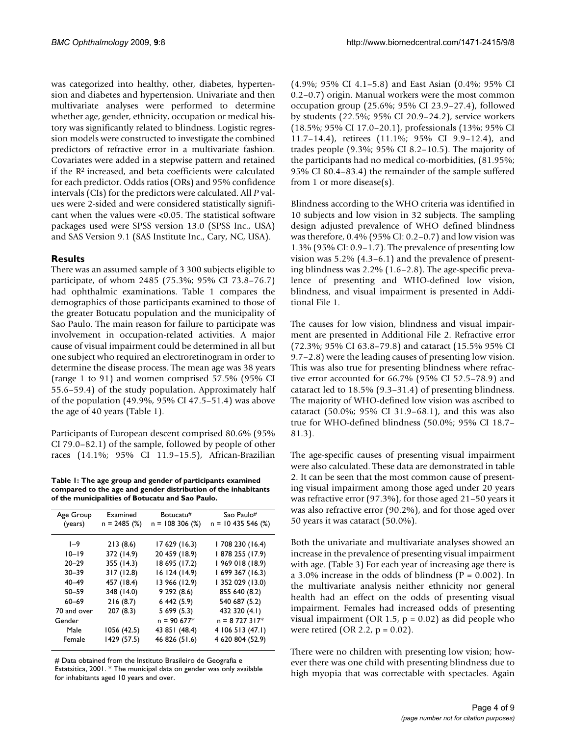was categorized into healthy, other, diabetes, hypertension and diabetes and hypertension. Univariate and then multivariate analyses were performed to determine whether age, gender, ethnicity, occupation or medical history was significantly related to blindness. Logistic regression models were constructed to investigate the combined predictors of refractive error in a multivariate fashion. Covariates were added in a stepwise pattern and retained if the R2 increased, and beta coefficients were calculated for each predictor. Odds ratios (ORs) and 95% confidence intervals (CIs) for the predictors were calculated. All *P* values were 2-sided and were considered statistically significant when the values were <0.05. The statistical software packages used were SPSS version 13.0 (SPSS Inc., USA) and SAS Version 9.1 (SAS Institute Inc., Cary, NC, USA).

# **Results**

There was an assumed sample of 3 300 subjects eligible to participate, of whom 2485 (75.3%; 95% CI 73.8–76.7) had ophthalmic examinations. Table 1 compares the demographics of those participants examined to those of the greater Botucatu population and the municipality of Sao Paulo. The main reason for failure to participate was involvement in occupation-related activities. A major cause of visual impairment could be determined in all but one subject who required an electroretinogram in order to determine the disease process. The mean age was 38 years (range 1 to 91) and women comprised 57.5% (95% CI 55.6–59.4) of the study population. Approximately half of the population (49.9%, 95% CI 47.5–51.4) was above the age of 40 years (Table 1).

Participants of European descent comprised 80.6% (95% CI 79.0–82.1) of the sample, followed by people of other races (14.1%; 95% CI 11.9–15.5), African-Brazilian

**Table 1: The age group and gender of participants examined compared to the age and gender distribution of the inhabitants of the municipalities of Botucatu and Sao Paulo.**

| Age Group   | Examined       | Botucatu#        | Sao Paulo#         |
|-------------|----------------|------------------|--------------------|
| (years)     | $n = 2485$ (%) | $n = 108306$ (%) | $n = 10435546$ (%) |
|             |                |                  |                    |
| $I-9$       | 213(8.6)       | 17 629 (16.3)    | 1708 230 (16.4)    |
| $10 - 19$   | 372 (14.9)     | 20 459 (18.9)    | 1878 255 (17.9)    |
| $20 - 29$   | 355 (14.3)     | 18 695 (17.2)    | 1969 018 (18.9)    |
| $30 - 39$   | 317(12.8)      | $16$ 124 (14.9)  | 1699367(16.3)      |
| $40 - 49$   | 457 (18.4)     | 13 966 (12.9)    | 352 029 (13.0)     |
| $50 - 59$   | 348 (14.0)     | 9292(8.6)        | 855 640 (8.2)      |
| $60 - 69$   | 216(8.7)       | 6442(5.9)        | 540 687 (5.2)      |
| 70 and over | 207(8.3)       | 5699(5.3)        | 432 320 (4.1)      |
| Gender      |                | $n = 90677*$     | $n = 8727317*$     |
| Male        | 1056 (42.5)    | 43 851 (48.4)    | 4 106 513 (47.1)   |
| Female      | 1429 (57.5)    | 46 826 (51.6)    | 4 620 804 (52.9)   |
|             |                |                  |                    |

# Data obtained from the Instituto Brasileiro de Geografia e Estatsitica, 2001. \* The municipal data on gender was only available for inhabitants aged 10 years and over.

(4.9%; 95% CI 4.1–5.8) and East Asian (0.4%; 95% CI 0.2–0.7) origin. Manual workers were the most common occupation group (25.6%; 95% CI 23.9–27.4), followed by students (22.5%; 95% CI 20.9–24.2), service workers (18.5%; 95% CI 17.0–20.1), professionals (13%; 95% CI 11.7–14.4), retirees (11.1%; 95% CI 9.9–12.4), and trades people (9.3%; 95% CI 8.2–10.5). The majority of the participants had no medical co-morbidities, (81.95%; 95% CI 80.4–83.4) the remainder of the sample suffered from 1 or more disease(s).

Blindness according to the WHO criteria was identified in 10 subjects and low vision in 32 subjects. The sampling design adjusted prevalence of WHO defined blindness was therefore, 0.4% (95% CI: 0.2–0.7) and low vision was 1.3% (95% CI: 0.9–1.7). The prevalence of presenting low vision was 5.2% (4.3–6.1) and the prevalence of presenting blindness was 2.2% (1.6–2.8). The age-specific prevalence of presenting and WHO-defined low vision, blindness, and visual impairment is presented in Additional File 1.

The causes for low vision, blindness and visual impairment are presented in Additional File 2. Refractive error (72.3%; 95% CI 63.8–79.8) and cataract (15.5% 95% CI 9.7–2.8) were the leading causes of presenting low vision. This was also true for presenting blindness where refractive error accounted for 66.7% (95% CI 52.5–78.9) and cataract led to 18.5% (9.3–31.4) of presenting blindness. The majority of WHO-defined low vision was ascribed to cataract (50.0%; 95% CI 31.9–68.1), and this was also true for WHO-defined blindness (50.0%; 95% CI 18.7– 81.3).

The age-specific causes of presenting visual impairment were also calculated. These data are demonstrated in table 2. It can be seen that the most common cause of presenting visual impairment among those aged under 20 years was refractive error (97.3%), for those aged 21–50 years it was also refractive error (90.2%), and for those aged over 50 years it was cataract (50.0%).

Both the univariate and multivariate analyses showed an increase in the prevalence of presenting visual impairment with age. (Table 3) For each year of increasing age there is a 3.0% increase in the odds of blindness ( $P = 0.002$ ). In the multivariate analysis neither ethnicity nor general health had an effect on the odds of presenting visual impairment. Females had increased odds of presenting visual impairment (OR 1.5,  $p = 0.02$ ) as did people who were retired (OR 2.2,  $p = 0.02$ ).

There were no children with presenting low vision; however there was one child with presenting blindness due to high myopia that was correctable with spectacles. Again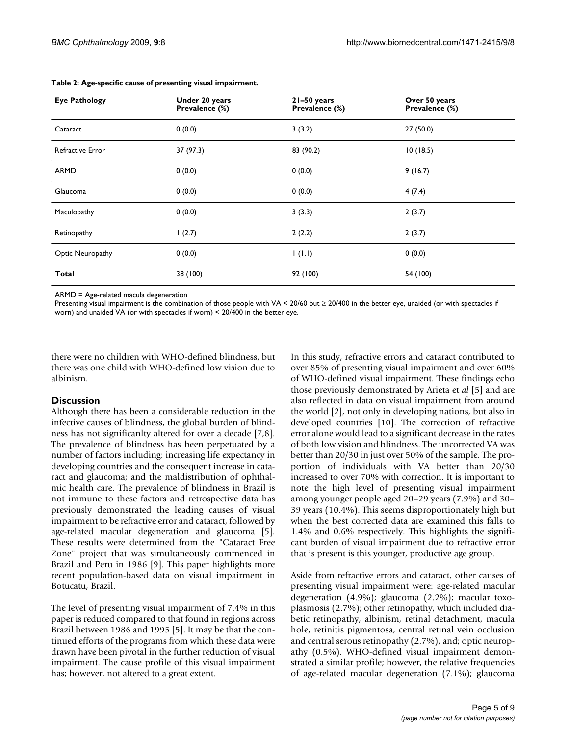| <b>Eye Pathology</b> | Under 20 years<br>Prevalence (%) | $21-50$ years<br>Prevalence (%) | Over 50 years<br>Prevalence (%) |
|----------------------|----------------------------------|---------------------------------|---------------------------------|
| Cataract             | 0(0.0)                           | 3(3.2)                          | 27 (50.0)                       |
| Refractive Error     | 37(97.3)                         | 83 (90.2)                       | 10(18.5)                        |
| <b>ARMD</b>          | 0(0.0)                           | 0(0.0)                          | 9(16.7)                         |
| Glaucoma             | 0(0.0)                           | 0(0.0)                          | 4(7.4)                          |
| Maculopathy          | 0(0.0)                           | 3(3.3)                          | 2(3.7)                          |
| Retinopathy          | 1(2.7)                           | 2(2.2)                          | 2(3.7)                          |
| Optic Neuropathy     | 0(0.0)                           | 1(1.1)                          | 0(0.0)                          |
| Total                | 38 (100)                         | 92 (100)                        | 54 (100)                        |

#### **Table 2: Age-specific cause of presenting visual impairment.**

ARMD = Age-related macula degeneration

Presenting visual impairment is the combination of those people with VA < 20/60 but ≥ 20/400 in the better eye, unaided (or with spectacles if worn) and unaided VA (or with spectacles if worn) < 20/400 in the better eye.

there were no children with WHO-defined blindness, but there was one child with WHO-defined low vision due to albinism.

#### **Discussion**

Although there has been a considerable reduction in the infective causes of blindness, the global burden of blindness has not significanlty altered for over a decade [7,8]. The prevalence of blindness has been perpetuated by a number of factors including: increasing life expectancy in developing countries and the consequent increase in cataract and glaucoma; and the maldistribution of ophthalmic health care. The prevalence of blindness in Brazil is not immune to these factors and retrospective data has previously demonstrated the leading causes of visual impairment to be refractive error and cataract, followed by age-related macular degeneration and glaucoma [5]. These results were determined from the "Cataract Free Zone" project that was simultaneously commenced in Brazil and Peru in 1986 [9]. This paper highlights more recent population-based data on visual impairment in Botucatu, Brazil.

The level of presenting visual impairment of 7.4% in this paper is reduced compared to that found in regions across Brazil between 1986 and 1995 [5]. It may be that the continued efforts of the programs from which these data were drawn have been pivotal in the further reduction of visual impairment. The cause profile of this visual impairment has; however, not altered to a great extent.

In this study, refractive errors and cataract contributed to over 85% of presenting visual impairment and over 60% of WHO-defined visual impairment. These findings echo those previously demonstrated by Arieta et *al* [5] and are also reflected in data on visual impairment from around the world [2], not only in developing nations, but also in developed countries [10]. The correction of refractive error alone would lead to a significant decrease in the rates of both low vision and blindness. The uncorrected VA was better than 20/30 in just over 50% of the sample. The proportion of individuals with VA better than 20/30 increased to over 70% with correction. It is important to note the high level of presenting visual impairment among younger people aged 20–29 years (7.9%) and 30– 39 years (10.4%). This seems disproportionately high but when the best corrected data are examined this falls to 1.4% and 0.6% respectively. This highlights the significant burden of visual impairment due to refractive error that is present is this younger, productive age group.

Aside from refractive errors and cataract, other causes of presenting visual impairment were: age-related macular degeneration (4.9%); glaucoma (2.2%); macular toxoplasmosis (2.7%); other retinopathy, which included diabetic retinopathy, albinism, retinal detachment, macula hole, retinitis pigmentosa, central retinal vein occlusion and central serous retinopathy (2.7%), and; optic neuropathy (0.5%). WHO-defined visual impairment demonstrated a similar profile; however, the relative frequencies of age-related macular degeneration (7.1%); glaucoma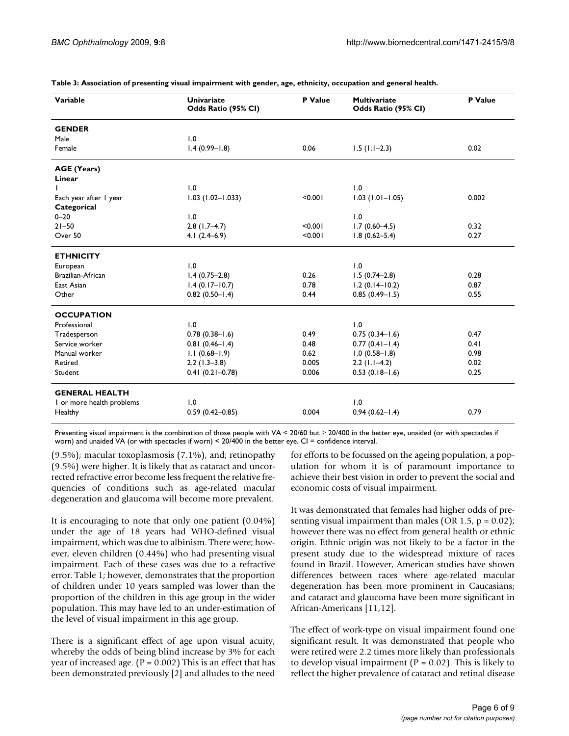|                           |                      |         | Odds Ratio (95% CI) |       |
|---------------------------|----------------------|---------|---------------------|-------|
| <b>GENDER</b>             |                      |         |                     |       |
| Male                      | 1.0                  |         |                     |       |
| Female                    | $1.4(0.99 - 1.8)$    | 0.06    | $1.5$ (1.1–2.3)     | 0.02  |
| <b>AGE (Years)</b>        |                      |         |                     |       |
| Linear                    |                      |         |                     |       |
|                           | 1.0                  |         | 1.0                 |       |
| Each year after I year    | $1.03(1.02 - 1.033)$ | < 0.001 | $1.03(1.01 - 1.05)$ | 0.002 |
| Categorical               |                      |         |                     |       |
| $0 - 20$                  | 1.0                  |         | 1.0                 |       |
| $21 - 50$                 | $2.8(1.7-4.7)$       | < 0.001 | $1.7(0.60-4.5)$     | 0.32  |
| Over 50                   | $4.1(2.4-6.9)$       | < 0.001 | $1.8(0.62 - 5.4)$   | 0.27  |
| <b>ETHNICITY</b>          |                      |         |                     |       |
| European                  | 1.0                  |         | 1.0                 |       |
| Brazilian-African         | $1.4(0.75-2.8)$      | 0.26    | $1.5(0.74 - 2.8)$   | 0.28  |
| East Asian                | $1.4(0.17 - 10.7)$   | 0.78    | $1.2(0.14-10.2)$    | 0.87  |
| Other                     | $0.82$ (0.50-1.4)    | 0.44    | $0.85(0.49 - 1.5)$  | 0.55  |
| <b>OCCUPATION</b>         |                      |         |                     |       |
| Professional              | 1.0                  |         | 1.0                 |       |
| Tradesperson              | $0.78(0.38 - 1.6)$   | 0.49    | $0.75(0.34-1.6)$    | 0.47  |
| Service worker            | $0.81(0.46 - 1.4)$   | 0.48    | $0.77(0.41 - 1.4)$  | 0.41  |
| Manual worker             | $1.1(0.68-1.9)$      | 0.62    | $1.0(0.58 - 1.8)$   | 0.98  |
| Retired                   | $2.2(1.3-3.8)$       | 0.005   | $2.2$ (1.1-4.2)     | 0.02  |
| Student                   | $0.41(0.21 - 0.78)$  | 0.006   | $0.53(0.18-1.6)$    | 0.25  |
| <b>GENERAL HEALTH</b>     |                      |         |                     |       |
| I or more health problems | 1.0                  |         | 1.0                 |       |
| Healthy                   | $0.59(0.42 - 0.85)$  | 0.004   | $0.94(0.62 - 1.4)$  | 0.79  |

**Table 3: Association of presenting visual impairment with gender, age, ethnicity, occupation and general health.**

Presenting visual impairment is the combination of those people with VA < 20/60 but ≥ 20/400 in the better eye, unaided (or with spectacles if worn) and unaided VA (or with spectacles if worn) < 20/400 in the better eye. CI = confidence interval.

(9.5%); macular toxoplasmosis (7.1%), and; retinopathy (9.5%) were higher. It is likely that as cataract and uncorrected refractive error become less frequent the relative frequencies of conditions such as age-related macular degeneration and glaucoma will become more prevalent.

It is encouraging to note that only one patient (0.04%) under the age of 18 years had WHO-defined visual impairment, which was due to albinism. There were; however, eleven children (0.44%) who had presenting visual impairment. Each of these cases was due to a refractive error. Table 1; however, demonstrates that the proportion of children under 10 years sampled was lower than the proportion of the children in this age group in the wider population. This may have led to an under-estimation of the level of visual impairment in this age group.

There is a significant effect of age upon visual acuity, whereby the odds of being blind increase by 3% for each year of increased age. ( $P = 0.002$ ) This is an effect that has been demonstrated previously [2] and alludes to the need

for efforts to be focussed on the ageing population, a population for whom it is of paramount importance to achieve their best vision in order to prevent the social and economic costs of visual impairment.

It was demonstrated that females had higher odds of presenting visual impairment than males (OR  $1.5$ ,  $p = 0.02$ ); however there was no effect from general health or ethnic origin. Ethnic origin was not likely to be a factor in the present study due to the widespread mixture of races found in Brazil. However, American studies have shown differences between races where age-related macular degeneration has been more prominent in Caucasians; and cataract and glaucoma have been more significant in African-Americans [11,12].

The effect of work-type on visual impairment found one significant result. It was demonstrated that people who were retired were 2.2 times more likely than professionals to develop visual impairment ( $P = 0.02$ ). This is likely to reflect the higher prevalence of cataract and retinal disease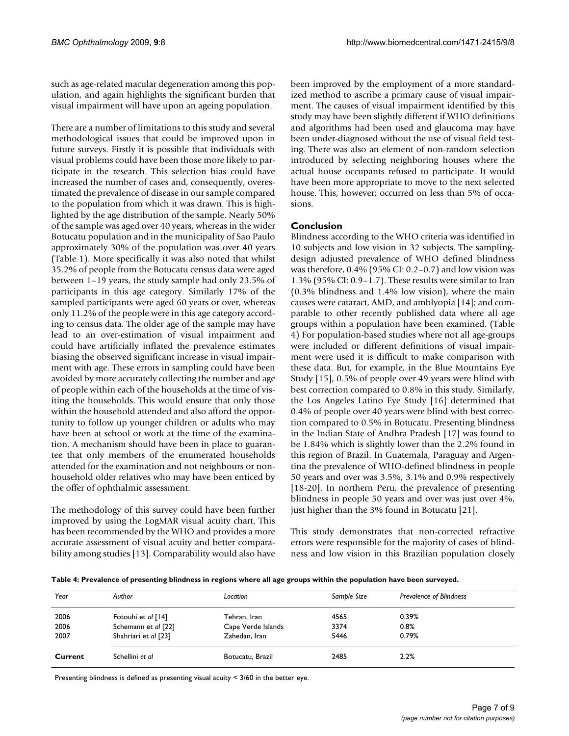such as age-related macular degeneration among this population, and again highlights the significant burden that visual impairment will have upon an ageing population.

There are a number of limitations to this study and several methodological issues that could be improved upon in future surveys. Firstly it is possible that individuals with visual problems could have been those more likely to participate in the research. This selection bias could have increased the number of cases and, consequently, overestimated the prevalence of disease in our sample compared to the population from which it was drawn. This is highlighted by the age distribution of the sample. Nearly 50% of the sample was aged over 40 years, whereas in the wider Botucatu population and in the municipality of Sao Paulo approximately 30% of the population was over 40 years (Table 1). More specifically it was also noted that whilst 35.2% of people from the Botucatu census data were aged between 1–19 years, the study sample had only 23.5% of participants in this age category. Similarly 17% of the sampled participants were aged 60 years or over, whereas only 11.2% of the people were in this age category according to census data. The older age of the sample may have lead to an over-estimation of visual impairment and could have artificially inflated the prevalence estimates biasing the observed significant increase in visual impairment with age. These errors in sampling could have been avoided by more accurately collecting the number and age of people within each of the households at the time of visiting the households. This would ensure that only those within the household attended and also afford the opportunity to follow up younger children or adults who may have been at school or work at the time of the examination. A mechanism should have been in place to guarantee that only members of the enumerated households attended for the examination and not neighbours or nonhousehold older relatives who may have been enticed by the offer of ophthalmic assessment.

The methodology of this survey could have been further improved by using the LogMAR visual acuity chart. This has been recommended by the WHO and provides a more accurate assessment of visual acuity and better comparability among studies [13]. Comparability would also have been improved by the employment of a more standardized method to ascribe a primary cause of visual impairment. The causes of visual impairment identified by this study may have been slightly different if WHO definitions and algorithms had been used and glaucoma may have been under-diagnosed without the use of visual field testing. There was also an element of non-random selection introduced by selecting neighboring houses where the actual house occupants refused to participate. It would have been more appropriate to move to the next selected house. This, however; occurred on less than 5% of occasions.

# **Conclusion**

Blindness according to the WHO criteria was identified in 10 subjects and low vision in 32 subjects. The samplingdesign adjusted prevalence of WHO defined blindness was therefore, 0.4% (95% CI: 0.2–0.7) and low vision was 1.3% (95% CI: 0.9–1.7). These results were similar to Iran (0.3% blindness and 1.4% low vision), where the main causes were cataract, AMD, and amblyopia [14]; and comparable to other recently published data where all age groups within a population have been examined. (Table 4) For population-based studies where not all age-groups were included or different definitions of visual impairment were used it is difficult to make comparison with these data. But, for example, in the Blue Mountains Eye Study [15], 0.5% of people over 49 years were blind with best correction compared to 0.8% in this study. Similarly, the Los Angeles Latino Eye Study [16] determined that 0.4% of people over 40 years were blind with best correction compared to 0.5% in Botucatu. Presenting blindness in the Indian State of Andhra Pradesh [17] was found to be 1.84% which is slightly lower than the 2.2% found in this region of Brazil. In Guatemala, Paraguay and Argentina the prevalence of WHO-defined blindness in people 50 years and over was 3.5%, 3.1% and 0.9% respectively [18-20]. In northern Peru, the prevalence of presenting blindness in people 50 years and over was just over 4%, just higher than the 3% found in Botucatu [21].

This study demonstrates that non-corrected refractive errors were responsible for the majority of cases of blindness and low vision in this Brazilian population closely

| Table 4: Prevalence of presenting blindness in regions where all age groups within the population have been surveyed. |  |  |  |  |  |
|-----------------------------------------------------------------------------------------------------------------------|--|--|--|--|--|
|-----------------------------------------------------------------------------------------------------------------------|--|--|--|--|--|

| Year                 | Author                                                            | Location                                            | Sample Size          | <b>Prevalence of Blindness</b> |
|----------------------|-------------------------------------------------------------------|-----------------------------------------------------|----------------------|--------------------------------|
| 2006<br>2006<br>2007 | Fotouhi et al [14]<br>Schemann et al [22]<br>Shahriari et al [23] | Tehran, Iran<br>Cape Verde Islands<br>Zahedan, Iran | 4565<br>3374<br>5446 | 0.39%<br>0.8%<br>0.79%         |
| Current              | Schellini et al                                                   | Botucatu, Brazil                                    | 2485                 | 2.2%                           |

Presenting blindness is defined as presenting visual acuity < 3/60 in the better eye.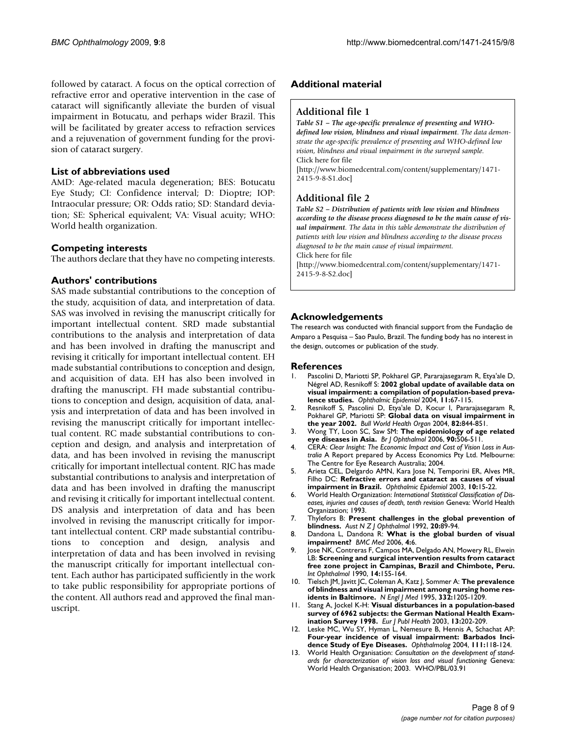followed by cataract. A focus on the optical correction of refractive error and operative intervention in the case of cataract will significantly alleviate the burden of visual impairment in Botucatu, and perhaps wider Brazil. This will be facilitated by greater access to refraction services and a rejuvenation of government funding for the provision of cataract surgery.

#### **List of abbreviations used**

AMD: Age-related macula degeneration; BES: Botucatu Eye Study; CI: Confidence interval; D: Dioptre; IOP: Intraocular pressure; OR: Odds ratio; SD: Standard deviation; SE: Spherical equivalent; VA: Visual acuity; WHO: World health organization.

#### **Competing interests**

The authors declare that they have no competing interests.

#### **Authors' contributions**

SAS made substantial contributions to the conception of the study, acquisition of data, and interpretation of data. SAS was involved in revising the manuscript critically for important intellectual content. SRD made substantial contributions to the analysis and interpretation of data and has been involved in drafting the manuscript and revising it critically for important intellectual content. EH made substantial contributions to conception and design, and acquisition of data. EH has also been involved in drafting the manuscript. FH made substantial contributions to conception and design, acquisition of data, analysis and interpretation of data and has been involved in revising the manuscript critically for important intellectual content. RC made substantial contributions to conception and design, and analysis and interpretation of data, and has been involved in revising the manuscript critically for important intellectual content. RJC has made substantial contributions to analysis and interpretation of data and has been involved in drafting the manuscript and revising it critically for important intellectual content. DS analysis and interpretation of data and has been involved in revising the manuscript critically for important intellectual content. CRP made substantial contributions to conception and design, analysis and interpretation of data and has been involved in revising the manuscript critically for important intellectual content. Each author has participated sufficiently in the work to take public responsibility for appropriate portions of the content. All authors read and approved the final manuscript.

### **Additional material**

#### **Additional file 1**

*Table S1 – The age-specific prevalence of presenting and WHOdefined low vision, blindness and visual impairment. The data demonstrate the age-specific prevalence of presenting and WHO-defined low vision, blindness and visual impairment in the surveyed sample.* Click here for file

[\[http://www.biomedcentral.com/content/supplementary/1471-](http://www.biomedcentral.com/content/supplementary/1471-2415-9-8-S1.doc) 2415-9-8-S1.doc]

# **Additional file 2**

*Table S2 – Distribution of patients with low vision and blindness according to the disease process diagnosed to be the main cause of visual impairment. The data in this table demonstrate the distribution of patients with low vision and blindness according to the disease process diagnosed to be the main cause of visual impairment.* Click here for file

[\[http://www.biomedcentral.com/content/supplementary/1471-](http://www.biomedcentral.com/content/supplementary/1471-2415-9-8-S2.doc) 2415-9-8-S2.doc]

#### **Acknowledgements**

The research was conducted with financial support from the Fundação de Amparo a Pesquisa – Sao Paulo, Brazil. The funding body has no interest in the design, outcomes or publication of the study.

#### **References**

- 1. Pascolini D, Mariotti SP, Pokharel GP, Pararajasegaram R, Etya'ale D, Négrel AD, Resnikoff S: **[2002 global update of available data on](http://www.ncbi.nlm.nih.gov/entrez/query.fcgi?cmd=Retrieve&db=PubMed&dopt=Abstract&list_uids=15255026) [visual impairment: a compilation of population-based preva](http://www.ncbi.nlm.nih.gov/entrez/query.fcgi?cmd=Retrieve&db=PubMed&dopt=Abstract&list_uids=15255026)[lence studies.](http://www.ncbi.nlm.nih.gov/entrez/query.fcgi?cmd=Retrieve&db=PubMed&dopt=Abstract&list_uids=15255026)** *Ophthalmic Epidemiol* 2004, **11:**67-115.
- 2. Resnikoff S, Pascolini D, Etya'ale D, Kocur I, Pararajasegaram R, Pokharel GP, Mariotti SP: **[Global data on visual impairment in](http://www.ncbi.nlm.nih.gov/entrez/query.fcgi?cmd=Retrieve&db=PubMed&dopt=Abstract&list_uids=15640920) [the year 2002.](http://www.ncbi.nlm.nih.gov/entrez/query.fcgi?cmd=Retrieve&db=PubMed&dopt=Abstract&list_uids=15640920)** *Bull World Health Organ* 2004, **82:**844-851.
- 3. Wong TY, Loon SC, Saw SM: **[The epidemiology of age related](http://www.ncbi.nlm.nih.gov/entrez/query.fcgi?cmd=Retrieve&db=PubMed&dopt=Abstract&list_uids=16547337) [eye diseases in Asia.](http://www.ncbi.nlm.nih.gov/entrez/query.fcgi?cmd=Retrieve&db=PubMed&dopt=Abstract&list_uids=16547337)** *Br J Ophthalmol* 2006, **90:**506-511.
- 4. CERA: *Clear Insight: The Economic Impact and Cost of Vision Loss in Australia* A Report prepared by Access Economics Pty Ltd. Melbourne: The Centre for Eye Research Australia; 2004.
- 5. Arieta CEL, Delgardo AMN, Kara Jose N, Temporini ER, Alves MR, Filho DC: **[Refractive errors and cataract as causes of visual](http://www.ncbi.nlm.nih.gov/entrez/query.fcgi?cmd=Retrieve&db=PubMed&dopt=Abstract&list_uids=12607155) [impairment in Brazil.](http://www.ncbi.nlm.nih.gov/entrez/query.fcgi?cmd=Retrieve&db=PubMed&dopt=Abstract&list_uids=12607155)** *Ophthalmic Epidemiol* 2003, **10:**15-22.
- 6. World Health Organization: *International Statistical Classification of Diseases, injuries and causes of death, tenth revision* Geneva: World Health Organization; 1993.
- 7. Thylefors B: **[Present challenges in the global prevention of](http://www.ncbi.nlm.nih.gov/entrez/query.fcgi?cmd=Retrieve&db=PubMed&dopt=Abstract&list_uids=1389140) [blindness.](http://www.ncbi.nlm.nih.gov/entrez/query.fcgi?cmd=Retrieve&db=PubMed&dopt=Abstract&list_uids=1389140)** *Aust N Z J Ophthalmol* 1992, **20:**89-94.
- 8. Dandona L, Dandona R: **[What is the global burden of visual](http://www.ncbi.nlm.nih.gov/entrez/query.fcgi?cmd=Retrieve&db=PubMed&dopt=Abstract&list_uids=16539747) [impairment?](http://www.ncbi.nlm.nih.gov/entrez/query.fcgi?cmd=Retrieve&db=PubMed&dopt=Abstract&list_uids=16539747)** *BMC Med* 2006, **4:**6.
- 9. Jose NK, Contreras F, Campos MA, Delgado AN, Mowery RL, Elwein LB: **[Screening and surgical intervention results from cataract](http://www.ncbi.nlm.nih.gov/entrez/query.fcgi?cmd=Retrieve&db=PubMed&dopt=Abstract&list_uids=2345062) [free zone project in Campinas, Brazil and Chimbote, Peru.](http://www.ncbi.nlm.nih.gov/entrez/query.fcgi?cmd=Retrieve&db=PubMed&dopt=Abstract&list_uids=2345062)** *Int Ophthalmol* 1990, **14:**155-164.
- 10. Tielsch JM, Javitt JC, Coleman A, Katz J, Sommer A: **[The prevalence](http://www.ncbi.nlm.nih.gov/entrez/query.fcgi?cmd=Retrieve&db=PubMed&dopt=Abstract&list_uids=7700315) [of blindness and visual impairment among nursing home res](http://www.ncbi.nlm.nih.gov/entrez/query.fcgi?cmd=Retrieve&db=PubMed&dopt=Abstract&list_uids=7700315)[idents in Baltimore.](http://www.ncbi.nlm.nih.gov/entrez/query.fcgi?cmd=Retrieve&db=PubMed&dopt=Abstract&list_uids=7700315)** *N Engl J Med* 1995, **332:**1205-1209.
- 11. Stang A, Jockel K-H: **Visual disturbances in a population-based survey of 6962 subjects: the German National Health Examination Survey 1998.** *Eur J Publ Health* 2003, **13:**202-209.
- 12. Leske MC, Wu SY, Hyman L, Nemesure B, Hennis A, Schachat AP: **Four-year incidence of visual impairment: Barbados Incidence Study of Eye Diseases.** *Ophthalmolog* 2004, **111:**118-124.
- 13. World Health Organisation: *Consultation on the development of standards for characterization of vision loss and visual functioning* Geneva: World Health Organisation; 2003. WHO/PBL/03.91